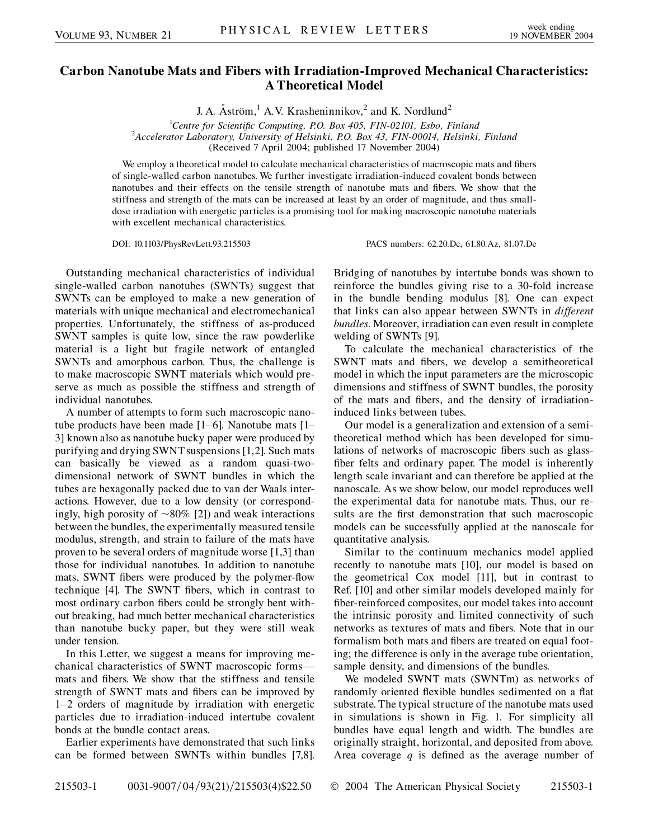## **Carbon Nanotube Mats and Fibers with Irradiation-Improved Mechanical Characteristics: A Theoretical Model**

J. A.  $\AA$ ström,<sup>1</sup> A.V. Krasheninnikov,<sup>2</sup> and K. Nordlund<sup>2</sup>

<sup>1</sup> Centre for Scientific Computing, P.O. Box 405, FIN-02101, Esbo, Finland<sup>2</sup> Accelerator Laboratory, University of Helsinki, P.O. Box 43, FIN-00014, Helsinki *Accelerator Laboratory, University of Helsinki, P.O. Box 43, FIN-00014, Helsinki, Finland* (Received 7 April 2004; published 17 November 2004)

We employ a theoretical model to calculate mechanical characteristics of macroscopic mats and fibers of single-walled carbon nanotubes. We further investigate irradiation-induced covalent bonds between nanotubes and their effects on the tensile strength of nanotube mats and fibers. We show that the stiffness and strength of the mats can be increased at least by an order of magnitude, and thus smalldose irradiation with energetic particles is a promising tool for making macroscopic nanotube materials with excellent mechanical characteristics.

DOI: 10.1103/PhysRevLett.93.215503 PACS numbers: 62.20.Dc, 61.80.Az, 81.07.De

Outstanding mechanical characteristics of individual single-walled carbon nanotubes (SWNTs) suggest that SWNTs can be employed to make a new generation of materials with unique mechanical and electromechanical properties. Unfortunately, the stiffness of as-produced SWNT samples is quite low, since the raw powderlike material is a light but fragile network of entangled SWNTs and amorphous carbon. Thus, the challenge is to make macroscopic SWNT materials which would preserve as much as possible the stiffness and strength of individual nanotubes.

A number of attempts to form such macroscopic nanotube products have been made [1–6]. Nanotube mats [1– 3] known also as nanotube bucky paper were produced by purifying and drying SWNT suspensions [1,2]. Such mats can basically be viewed as a random quasi-twodimensional network of SWNT bundles in which the tubes are hexagonally packed due to van der Waals interactions. However, due to a low density (or correspondingly, high porosity of  $\sim 80\%$  [2]) and weak interactions between the bundles, the experimentally measured tensile modulus, strength, and strain to failure of the mats have proven to be several orders of magnitude worse [1,3] than those for individual nanotubes. In addition to nanotube mats, SWNT fibers were produced by the polymer-flow technique [4]. The SWNT fibers, which in contrast to most ordinary carbon fibers could be strongly bent without breaking, had much better mechanical characteristics than nanotube bucky paper, but they were still weak under tension.

In this Letter, we suggest a means for improving mechanical characteristics of SWNT macroscopic forms mats and fibers. We show that the stiffness and tensile strength of SWNT mats and fibers can be improved by 1–2 orders of magnitude by irradiation with energetic particles due to irradiation-induced intertube covalent bonds at the bundle contact areas.

Earlier experiments have demonstrated that such links can be formed between SWNTs within bundles [7,8]. Bridging of nanotubes by intertube bonds was shown to reinforce the bundles giving rise to a 30-fold increase in the bundle bending modulus [8]. One can expect that links can also appear between SWNTs in *different bundles*. Moreover, irradiation can even result in complete welding of SWNTs [9].

To calculate the mechanical characteristics of the SWNT mats and fibers, we develop a semitheoretical model in which the input parameters are the microscopic dimensions and stiffness of SWNT bundles, the porosity of the mats and fibers, and the density of irradiationinduced links between tubes.

Our model is a generalization and extension of a semitheoretical method which has been developed for simulations of networks of macroscopic fibers such as glassfiber felts and ordinary paper. The model is inherently length scale invariant and can therefore be applied at the nanoscale. As we show below, our model reproduces well the experimental data for nanotube mats. Thus, our results are the first demonstration that such macroscopic models can be successfully applied at the nanoscale for quantitative analysis.

Similar to the continuum mechanics model applied recently to nanotube mats [10], our model is based on the geometrical Cox model [11], but in contrast to Ref. [10] and other similar models developed mainly for fiber-reinforced composites, our model takes into account the intrinsic porosity and limited connectivity of such networks as textures of mats and fibers. Note that in our formalism both mats and fibers are treated on equal footing; the difference is only in the average tube orientation, sample density, and dimensions of the bundles.

We modeled SWNT mats (SWNTm) as networks of randomly oriented flexible bundles sedimented on a flat substrate. The typical structure of the nanotube mats used in simulations is shown in Fig. 1. For simplicity all bundles have equal length and width. The bundles are originally straight, horizontal, and deposited from above. Area coverage *q* is defined as the average number of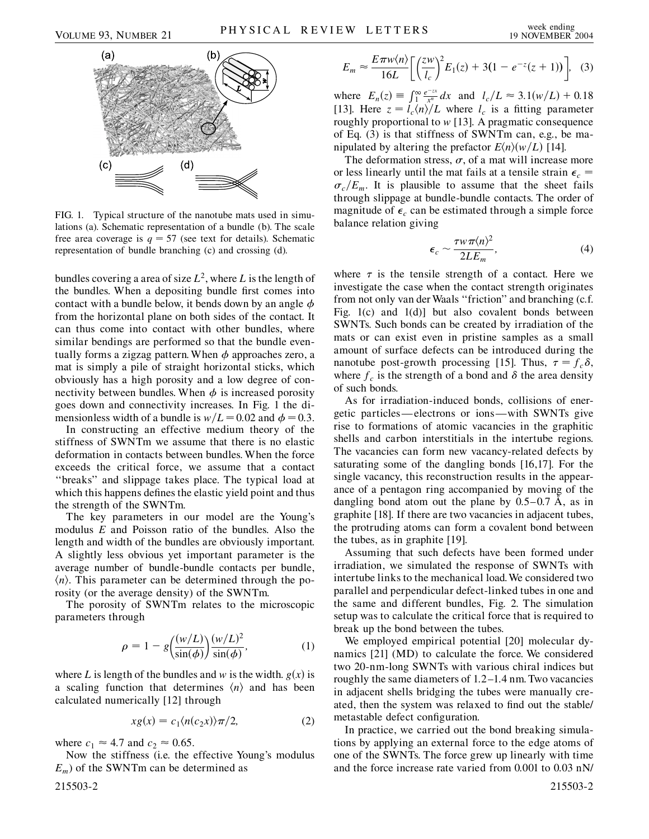

FIG. 1. Typical structure of the nanotube mats used in simulations (a). Schematic representation of a bundle (b). The scale free area coverage is  $q = 57$  (see text for details). Schematic representation of bundle branching (c) and crossing (d).

bundles covering a area of size  $L^2$ , where L is the length of the bundles. When a depositing bundle first comes into contact with a bundle below, it bends down by an angle  $\phi$ from the horizontal plane on both sides of the contact. It can thus come into contact with other bundles, where similar bendings are performed so that the bundle eventually forms a zigzag pattern. When  $\phi$  approaches zero, a mat is simply a pile of straight horizontal sticks, which obviously has a high porosity and a low degree of connectivity between bundles. When  $\phi$  is increased porosity goes down and connectivity increases. In Fig. 1 the dimensionless width of a bundle is  $w/L = 0.02$  and  $\phi = 0.3$ .

In constructing an effective medium theory of the stiffness of SWNTm we assume that there is no elastic deformation in contacts between bundles. When the force exceeds the critical force, we assume that a contact ''breaks'' and slippage takes place. The typical load at which this happens defines the elastic yield point and thus the strength of the SWNTm.

The key parameters in our model are the Young's modulus *E* and Poisson ratio of the bundles. Also the length and width of the bundles are obviously important. A slightly less obvious yet important parameter is the average number of bundle-bundle contacts per bundle,  $\langle n \rangle$ . This parameter can be determined through the porosity (or the average density) of the SWNTm.

The porosity of SWNTm relates to the microscopic parameters through

$$
\rho = 1 - g \left( \frac{(w/L)}{\sin(\phi)} \right) \frac{(w/L)^2}{\sin(\phi)},\tag{1}
$$

where *L* is length of the bundles and *w* is the width.  $g(x)$  is a scaling function that determines  $\langle n \rangle$  and has been calculated numerically [12] through

$$
xg(x) = c_1 \langle n(c_2 x) \rangle \pi/2, \tag{2}
$$

where  $c_1 \approx 4.7$  and  $c_2 \approx 0.65$ .

Now the stiffness (i.e. the effective Young's modulus  $E_m$ ) of the SWNTm can be determined as

$$
E_m \approx \frac{E\pi w \langle n \rangle}{16L} \bigg[ \bigg( \frac{zw}{l_c} \bigg)^2 E_1(z) + 3(1 - e^{-z}(z+1)) \bigg], \quad (3)
$$

where  $E_n(z) = \int_{1}^{\infty} \frac{e^{-zx}}{x^n} dx$  and  $l_c/L \approx 3.1(w/L) + 0.18$ [13]. Here  $z = l_c \langle n \rangle / L$  where  $l_c$  is a fitting parameter roughly proportional to *w* [13]. A pragmatic consequence of Eq. (3) is that stiffness of SWNTm can, e.g., be manipulated by altering the prefactor  $E\langle n \rangle \langle w/L \rangle$  [14].

The deformation stress,  $\sigma$ , of a mat will increase more or less linearly until the mat fails at a tensile strain  $\epsilon_c$  =  $\sigma_c/E_m$ . It is plausible to assume that the sheet fails through slippage at bundle-bundle contacts. The order of magnitude of  $\epsilon_c$  can be estimated through a simple force balance relation giving

$$
\epsilon_c \sim \frac{\tau w \pi \langle n \rangle^2}{2LE_m},\tag{4}
$$

where  $\tau$  is the tensile strength of a contact. Here we investigate the case when the contact strength originates from not only van der Waals ''friction'' and branching (c.f. Fig. 1(c) and 1(d)] but also covalent bonds between SWNTs. Such bonds can be created by irradiation of the mats or can exist even in pristine samples as a small amount of surface defects can be introduced during the nanotube post-growth processing [15]. Thus,  $\tau = f_c \delta$ , where  $f_c$  is the strength of a bond and  $\delta$  the area density of such bonds.

As for irradiation-induced bonds, collisions of energetic particles— electrons or ions—with SWNTs give rise to formations of atomic vacancies in the graphitic shells and carbon interstitials in the intertube regions. The vacancies can form new vacancy-related defects by saturating some of the dangling bonds [16,17]. For the single vacancy, this reconstruction results in the appearance of a pentagon ring accompanied by moving of the dangling bond atom out the plane by  $0.5-0.7$  A, as in graphite [18]. If there are two vacancies in adjacent tubes, the protruding atoms can form a covalent bond between the tubes, as in graphite [19].

Assuming that such defects have been formed under irradiation, we simulated the response of SWNTs with intertube links to the mechanical load.We considered two parallel and perpendicular defect-linked tubes in one and the same and different bundles, Fig. 2. The simulation setup was to calculate the critical force that is required to break up the bond between the tubes.

We employed empirical potential [20] molecular dynamics [21] (MD) to calculate the force. We considered two 20-nm-long SWNTs with various chiral indices but roughly the same diameters of 1.2–1.4 nm. Two vacancies in adjacent shells bridging the tubes were manually created, then the system was relaxed to find out the stable/ metastable defect configuration.

In practice, we carried out the bond breaking simulations by applying an external force to the edge atoms of one of the SWNTs. The force grew up linearly with time and the force increase rate varied from 0.001 to 0.03 nN/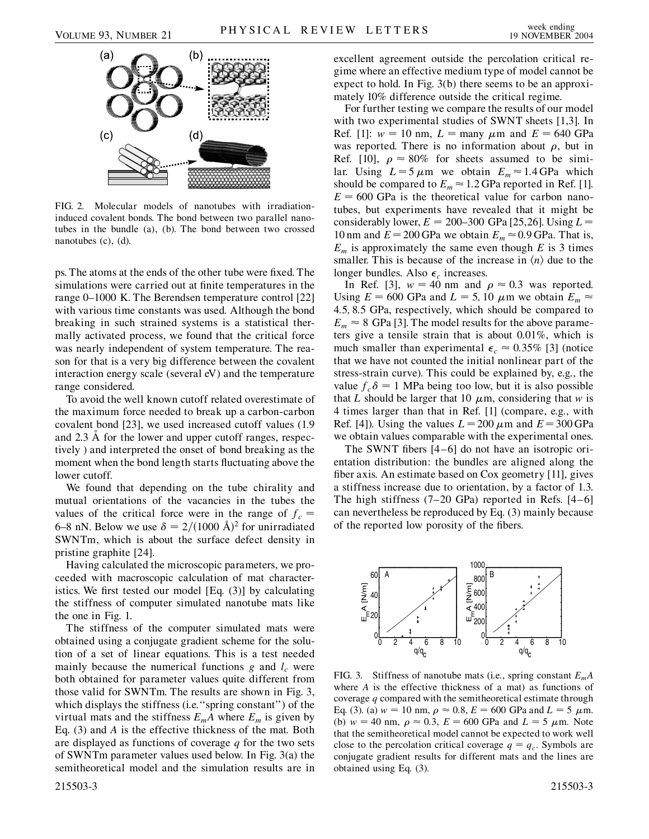

FIG. 2. Molecular models of nanotubes with irradiationinduced covalent bonds. The bond between two parallel nanotubes in the bundle (a), (b). The bond between two crossed nanotubes (c), (d).

ps. The atoms at the ends of the other tube were fixed. The simulations were carried out at finite temperatures in the range 0–1000 K. The Berendsen temperature control [22] with various time constants was used. Although the bond breaking in such strained systems is a statistical thermally activated process, we found that the critical force was nearly independent of system temperature. The reason for that is a very big difference between the covalent interaction energy scale (several eV) and the temperature range considered.

To avoid the well known cutoff related overestimate of the maximum force needed to break up a carbon-carbon covalent bond [23], we used increased cutoff values (1.9 and 2.3 Å for the lower and upper cutoff ranges, respectively ) and interpreted the onset of bond breaking as the moment when the bond length starts fluctuating above the lower cutoff.

We found that depending on the tube chirality and mutual orientations of the vacancies in the tubes the values of the critical force were in the range of  $f_c$  = 6–8 nN. Below we use  $\delta = 2/(1000 \text{ Å})^2$  for unirradiated SWNTm, which is about the surface defect density in pristine graphite [24].

Having calculated the microscopic parameters, we proceeded with macroscopic calculation of mat characteristics. We first tested our model [Eq. (3)] by calculating the stiffness of computer simulated nanotube mats like the one in Fig. 1.

The stiffness of the computer simulated mats were obtained using a conjugate gradient scheme for the solution of a set of linear equations. This is a test needed mainly because the numerical functions  $g$  and  $l_c$  were both obtained for parameter values quite different from those valid for SWNTm. The results are shown in Fig. 3, which displays the stiffness (i.e.''spring constant'') of the virtual mats and the stiffness  $E_m A$  where  $E_m$  is given by Eq. (3) and *A* is the effective thickness of the mat. Both are displayed as functions of coverage *q* for the two sets of SWNTm parameter values used below. In Fig. 3(a) the semitheoretical model and the simulation results are in excellent agreement outside the percolation critical regime where an effective medium type of model cannot be expect to hold. In Fig. 3(b) there seems to be an approximately 10% difference outside the critical regime.

For further testing we compare the results of our model with two experimental studies of SWNT sheets [1,3]. In Ref. [1]:  $w = 10$  nm,  $L =$  many  $\mu$ m and  $E = 640$  GPa was reported. There is no information about  $\rho$ , but in Ref. [10],  $\rho \approx 80\%$  for sheets assumed to be similar. Using  $L = 5 \mu m$  we obtain  $E_m \approx 1.4 \text{ GPa}$  which should be compared to  $E_m \approx 1.2$  GPa reported in Ref. [1].  $E = 600$  GPa is the theoretical value for carbon nanotubes, but experiments have revealed that it might be considerably lower,  $E = 200-300$  GPa [25,26]. Using  $L =$ 10 nm and  $E = 200$  GPa we obtain  $E_m \approx 0.9$  GPa. That is,  $E_m$  is approximately the same even though *E* is 3 times smaller. This is because of the increase in  $\langle n \rangle$  due to the longer bundles. Also  $\epsilon_c$  increases.

In Ref. [3],  $w = 40$  nm and  $\rho \approx 0.3$  was reported. Using  $E = 600$  GPa and  $L = 5$ , 10  $\mu$ m we obtain  $E_m \approx$ 4*:*5*;* 8*:*5 GPa, respectively, which should be compared to  $E_m \approx 8$  GPa [3]. The model results for the above parameters give a tensile strain that is about 0*:*01%, which is much smaller than experimental  $\epsilon_c \approx 0.35\%$  [3] (notice that we have not counted the initial nonlinear part of the stress-strain curve). This could be explained by, e.g., the value  $f_c \delta = 1$  MPa being too low, but it is also possible that *L* should be larger that 10  $\mu$ m, considering that *w* is 4 times larger than that in Ref. [1] (compare, e.g., with Ref. [4]). Using the values  $L = 200 \mu \text{m}$  and  $E = 300 \text{ GPa}$ we obtain values comparable with the experimental ones.

The SWNT fibers [4–6] do not have an isotropic orientation distribution: the bundles are aligned along the fiber axis. An estimate based on Cox geometry [11], gives a stiffness increase due to orientation, by a factor of 1.3. The high stiffness  $(7-20 \text{ GPa})$  reported in Refs.  $[4-6]$ can nevertheless be reproduced by Eq. (3) mainly because of the reported low porosity of the fibers.



FIG. 3. Stiffness of nanotube mats (i.e., spring constant *EmA* where *A* is the effective thickness of a mat) as functions of coverage *q* compared with the semitheoretical estimate through Eq. (3). (a)  $w = 10 \text{ nm}, \rho \approx 0.8, E = 600 \text{ GPa}$  and  $L = 5 \mu \text{m}$ . (b)  $w = 40$  nm,  $\rho \approx 0.3$ ,  $E = 600$  GPa and  $L = 5 \mu$ m. Note that the semitheoretical model cannot be expected to work well close to the percolation critical coverage  $q = q_c$ . Symbols are conjugate gradient results for different mats and the lines are obtained using Eq. (3).